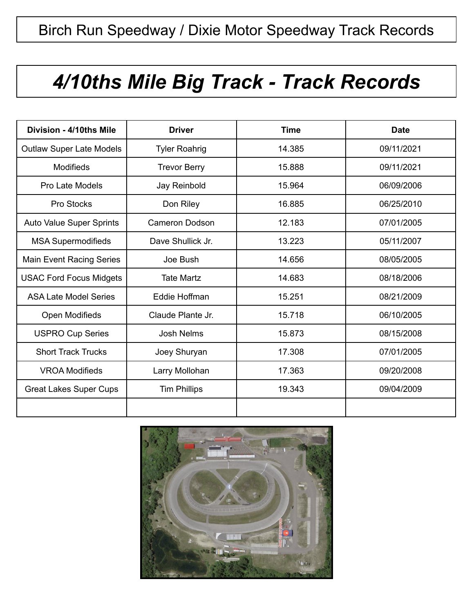## *4/10ths Mile Big Track - Track Records*

| Division - 4/10ths Mile         | <b>Driver</b>        | <b>Time</b> | <b>Date</b> |
|---------------------------------|----------------------|-------------|-------------|
| <b>Outlaw Super Late Models</b> | <b>Tyler Roahrig</b> | 14.385      | 09/11/2021  |
| <b>Modifieds</b>                | <b>Trevor Berry</b>  | 15.888      | 09/11/2021  |
| Pro Late Models                 | Jay Reinbold         | 15.964      | 06/09/2006  |
| Pro Stocks                      | Don Riley            | 16.885      | 06/25/2010  |
| <b>Auto Value Super Sprints</b> | Cameron Dodson       | 12.183      | 07/01/2005  |
| <b>MSA Supermodifieds</b>       | Dave Shullick Jr.    | 13.223      | 05/11/2007  |
| <b>Main Event Racing Series</b> | Joe Bush             | 14.656      | 08/05/2005  |
| <b>USAC Ford Focus Midgets</b>  | <b>Tate Martz</b>    | 14.683      | 08/18/2006  |
| <b>ASA Late Model Series</b>    | Eddie Hoffman        | 15.251      | 08/21/2009  |
| Open Modifieds                  | Claude Plante Jr.    | 15.718      | 06/10/2005  |
| <b>USPRO Cup Series</b>         | <b>Josh Nelms</b>    | 15.873      | 08/15/2008  |
| <b>Short Track Trucks</b>       | Joey Shuryan         | 17.308      | 07/01/2005  |
| <b>VROA Modifieds</b>           | Larry Mollohan       | 17.363      | 09/20/2008  |
| <b>Great Lakes Super Cups</b>   | <b>Tim Phillips</b>  | 19.343      | 09/04/2009  |
|                                 |                      |             |             |